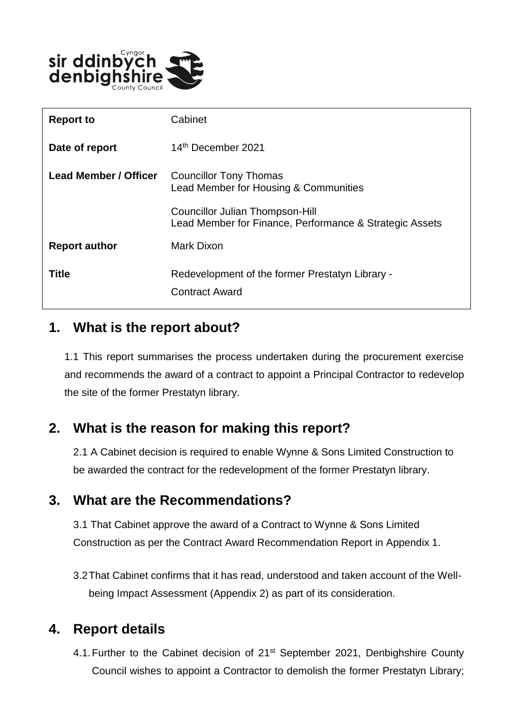

| <b>Report to</b>             | Cabinet                                                                                    |
|------------------------------|--------------------------------------------------------------------------------------------|
| Date of report               | 14th December 2021                                                                         |
| <b>Lead Member / Officer</b> | <b>Councillor Tony Thomas</b><br>Lead Member for Housing & Communities                     |
|                              | Councillor Julian Thompson-Hill<br>Lead Member for Finance, Performance & Strategic Assets |
| <b>Report author</b>         | Mark Dixon                                                                                 |
| <b>Title</b>                 | Redevelopment of the former Prestatyn Library -<br><b>Contract Award</b>                   |

#### **1. What is the report about?**

1.1 This report summarises the process undertaken during the procurement exercise and recommends the award of a contract to appoint a Principal Contractor to redevelop the site of the former Prestatyn library.

# **2. What is the reason for making this report?**

2.1 A Cabinet decision is required to enable Wynne & Sons Limited Construction to be awarded the contract for the redevelopment of the former Prestatyn library.

### **3. What are the Recommendations?**

3.1 That Cabinet approve the award of a Contract to Wynne & Sons Limited Construction as per the Contract Award Recommendation Report in Appendix 1.

3.2That Cabinet confirms that it has read, understood and taken account of the Wellbeing Impact Assessment (Appendix 2) as part of its consideration.

# **4. Report details**

4.1. Further to the Cabinet decision of 21<sup>st</sup> September 2021, Denbighshire County Council wishes to appoint a Contractor to demolish the former Prestatyn Library;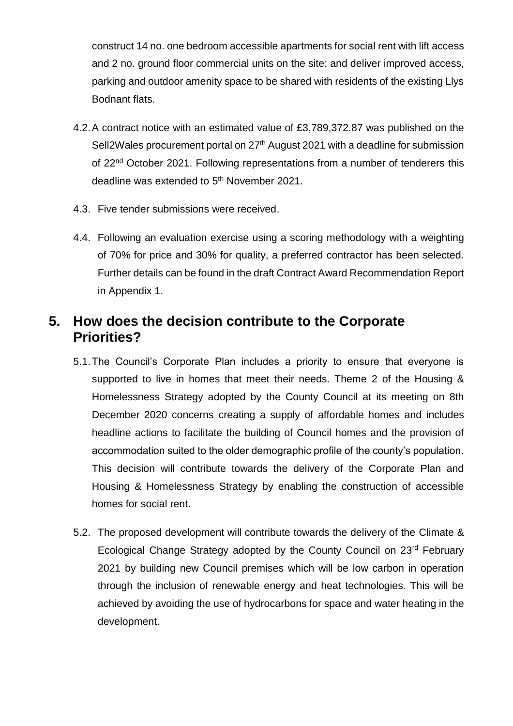construct 14 no. one bedroom accessible apartments for social rent with lift access and 2 no. ground floor commercial units on the site; and deliver improved access, parking and outdoor amenity space to be shared with residents of the existing Llys Bodnant flats.

- 4.2.A contract notice with an estimated value of £3,789,372.87 was published on the Sell2Wales procurement portal on 27<sup>th</sup> August 2021 with a deadline for submission of 22<sup>nd</sup> October 2021. Following representations from a number of tenderers this deadline was extended to 5<sup>th</sup> November 2021.
- 4.3. Five tender submissions were received.
- 4.4. Following an evaluation exercise using a scoring methodology with a weighting of 70% for price and 30% for quality, a preferred contractor has been selected. Further details can be found in the draft Contract Award Recommendation Report in Appendix 1.

# **5. How does the decision contribute to the Corporate Priorities?**

- 5.1.The Council's Corporate Plan includes a priority to ensure that everyone is supported to live in homes that meet their needs. Theme 2 of the Housing & Homelessness Strategy adopted by the County Council at its meeting on 8th December 2020 concerns creating a supply of affordable homes and includes headline actions to facilitate the building of Council homes and the provision of accommodation suited to the older demographic profile of the county's population. This decision will contribute towards the delivery of the Corporate Plan and Housing & Homelessness Strategy by enabling the construction of accessible homes for social rent.
- 5.2. The proposed development will contribute towards the delivery of the Climate & Ecological Change Strategy adopted by the County Council on 23rd February 2021 by building new Council premises which will be low carbon in operation through the inclusion of renewable energy and heat technologies. This will be achieved by avoiding the use of hydrocarbons for space and water heating in the development.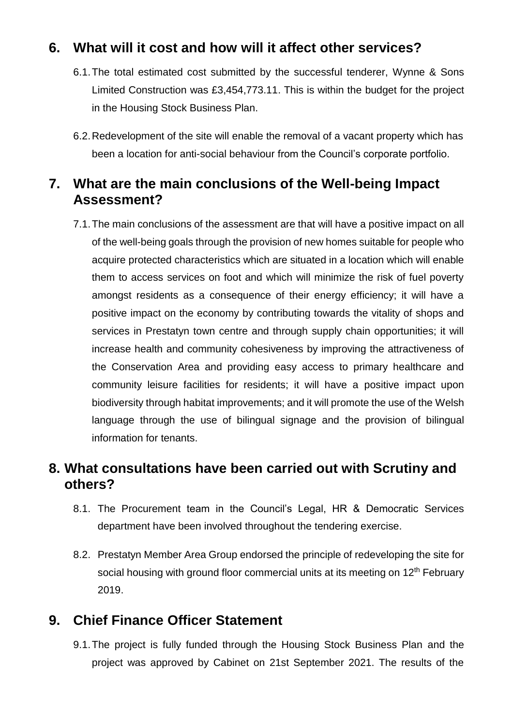## **6. What will it cost and how will it affect other services?**

- 6.1.The total estimated cost submitted by the successful tenderer, Wynne & Sons Limited Construction was £3,454,773.11. This is within the budget for the project in the Housing Stock Business Plan.
- 6.2.Redevelopment of the site will enable the removal of a vacant property which has been a location for anti-social behaviour from the Council's corporate portfolio.

## **7. What are the main conclusions of the Well-being Impact Assessment?**

7.1.The main conclusions of the assessment are that will have a positive impact on all of the well-being goals through the provision of new homes suitable for people who acquire protected characteristics which are situated in a location which will enable them to access services on foot and which will minimize the risk of fuel poverty amongst residents as a consequence of their energy efficiency; it will have a positive impact on the economy by contributing towards the vitality of shops and services in Prestatyn town centre and through supply chain opportunities; it will increase health and community cohesiveness by improving the attractiveness of the Conservation Area and providing easy access to primary healthcare and community leisure facilities for residents; it will have a positive impact upon biodiversity through habitat improvements; and it will promote the use of the Welsh language through the use of bilingual signage and the provision of bilingual information for tenants.

#### **8. What consultations have been carried out with Scrutiny and others?**

- 8.1. The Procurement team in the Council's Legal, HR & Democratic Services department have been involved throughout the tendering exercise.
- 8.2. Prestatyn Member Area Group endorsed the principle of redeveloping the site for social housing with ground floor commercial units at its meeting on 12<sup>th</sup> February 2019.

### **9. Chief Finance Officer Statement**

9.1.The project is fully funded through the Housing Stock Business Plan and the project was approved by Cabinet on 21st September 2021. The results of the